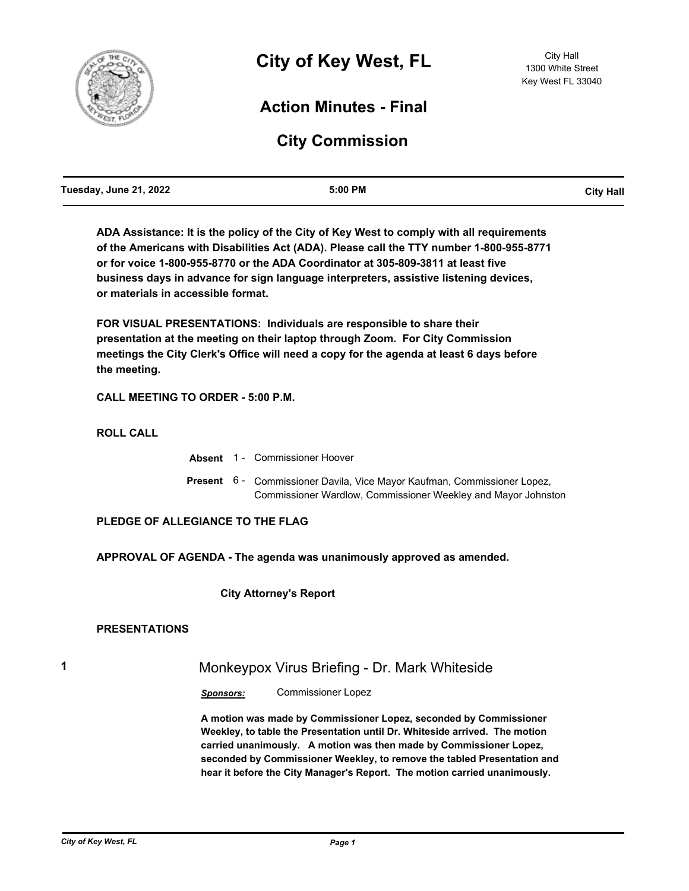

## **Action Minutes - Final**

# **City Commission**

**ADA Assistance: It is the policy of the City of Key West to comply with all requirements of the Americans with Disabilities Act (ADA). Please call the TTY number 1-800-955-8771 or for voice 1-800-955-8770 or the ADA Coordinator at 305-809-3811 at least five business days in advance for sign language interpreters, assistive listening devices, or materials in accessible format.**

**FOR VISUAL PRESENTATIONS: Individuals are responsible to share their presentation at the meeting on their laptop through Zoom. For City Commission meetings the City Clerk's Office will need a copy for the agenda at least 6 days before the meeting.**

**CALL MEETING TO ORDER - 5:00 P.M.**

**ROLL CALL**

|  | <b>Absent</b> 1 Commissioner Hoover                                                                                                              |
|--|--------------------------------------------------------------------------------------------------------------------------------------------------|
|  | <b>Present</b> 6 - Commissioner Davila, Vice Mayor Kaufman, Commissioner Lopez,<br>Commissioner Wardlow, Commissioner Weekley and Mayor Johnston |

**PLEDGE OF ALLEGIANCE TO THE FLAG**

**APPROVAL OF AGENDA - The agenda was unanimously approved as amended.**

 **City Attorney's Report**

#### **PRESENTATIONS**

## **1** Monkeypox Virus Briefing - Dr. Mark Whiteside

*Sponsors:* Commissioner Lopez

**A motion was made by Commissioner Lopez, seconded by Commissioner Weekley, to table the Presentation until Dr. Whiteside arrived. The motion carried unanimously. A motion was then made by Commissioner Lopez, seconded by Commissioner Weekley, to remove the tabled Presentation and hear it before the City Manager's Report. The motion carried unanimously.**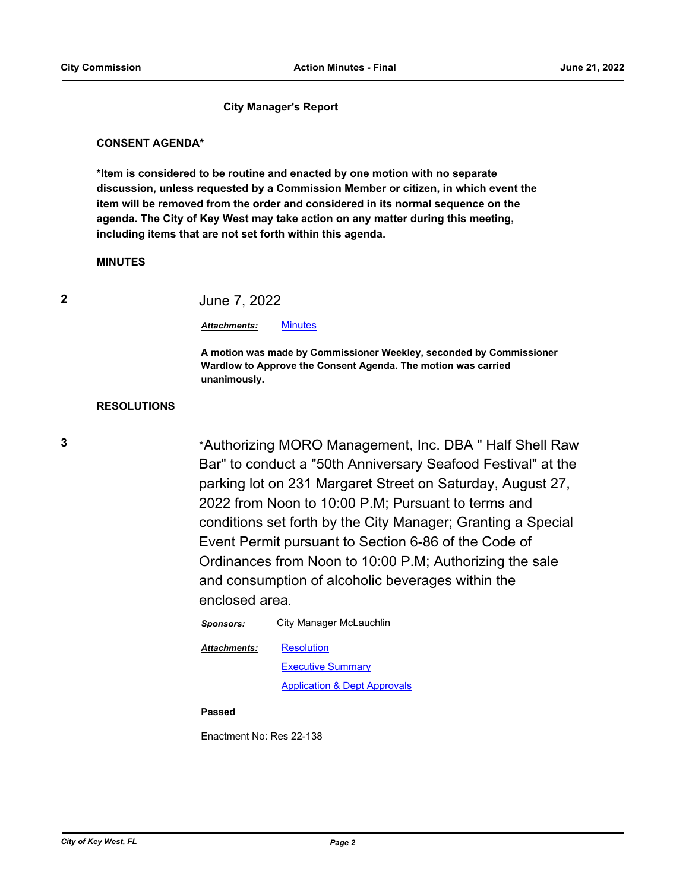#### **City Manager's Report**

#### **CONSENT AGENDA\***

**\*Item is considered to be routine and enacted by one motion with no separate discussion, unless requested by a Commission Member or citizen, in which event the item will be removed from the order and considered in its normal sequence on the agenda. The City of Key West may take action on any matter during this meeting, including items that are not set forth within this agenda.**

#### **MINUTES**

| ۰.<br>i |   |
|---------|---|
| I       | I |
|         |   |

### **2** June 7, 2022

#### *Attachments:* [Minutes](http://KeyWest.legistar.com/gateway.aspx?M=F&ID=fa39eac4-454c-4f69-b06c-09de2ffc3764.pdf)

**A motion was made by Commissioner Weekley, seconded by Commissioner Wardlow to Approve the Consent Agenda. The motion was carried unanimously.**

#### **RESOLUTIONS**

**3** \*Authorizing MORO Management, Inc. DBA " Half Shell Raw Bar" to conduct a "50th Anniversary Seafood Festival" at the parking lot on 231 Margaret Street on Saturday, August 27, 2022 from Noon to 10:00 P.M; Pursuant to terms and conditions set forth by the City Manager; Granting a Special Event Permit pursuant to Section 6-86 of the Code of Ordinances from Noon to 10:00 P.M; Authorizing the sale and consumption of alcoholic beverages within the enclosed area.

| Sponsors:           | City Manager McLauchlin                 |
|---------------------|-----------------------------------------|
| <b>Attachments:</b> | <b>Resolution</b>                       |
|                     | <b>Executive Summary</b>                |
|                     | <b>Application &amp; Dept Approvals</b> |

#### **Passed**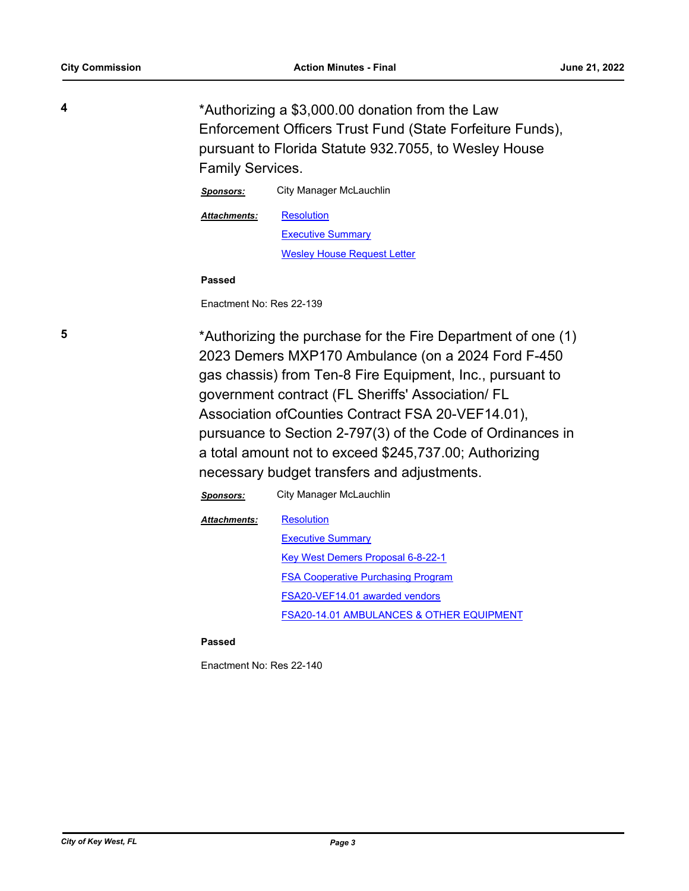**4** \*Authorizing a \$3,000.00 donation from the Law Enforcement Officers Trust Fund (State Forfeiture Funds), pursuant to Florida Statute 932.7055, to Wesley House Family Services.

> *Sponsors:* City Manager McLauchlin **[Resolution](http://KeyWest.legistar.com/gateway.aspx?M=F&ID=3d42bc17-724a-46b3-b4fd-0bd3db6c7d2c.pdf)** [Executive Summary](http://KeyWest.legistar.com/gateway.aspx?M=F&ID=94cc7b1b-a00b-4bbb-b18d-ee609b27624a.pdf) [Wesley House Request Letter](http://KeyWest.legistar.com/gateway.aspx?M=F&ID=582be641-edbe-4371-81f6-a8a8461a1447.pdf) *Attachments:*

**Passed**

Enactment No: Res 22-139

**5** \*Authorizing the purchase for the Fire Department of one (1) 2023 Demers MXP170 Ambulance (on a 2024 Ford F-450 gas chassis) from Ten-8 Fire Equipment, Inc., pursuant to government contract (FL Sheriffs' Association/ FL Association ofCounties Contract FSA 20-VEF14.01), pursuance to Section 2-797(3) of the Code of Ordinances in a total amount not to exceed \$245,737.00; Authorizing necessary budget transfers and adjustments.

> *Sponsors:* City Manager McLauchlin **[Resolution](http://KeyWest.legistar.com/gateway.aspx?M=F&ID=945dc4e1-b759-4ae3-b448-86bef2a8516e.pdf) [Executive Summary](http://KeyWest.legistar.com/gateway.aspx?M=F&ID=826564a9-2d7a-4259-a19d-06b0a744fe2f.pdf)** [Key West Demers Proposal 6-8-22-1](http://KeyWest.legistar.com/gateway.aspx?M=F&ID=0d29bdc9-8192-4888-bfb9-9686e096eb27.pdf) [FSA Cooperative Purchasing Program](http://KeyWest.legistar.com/gateway.aspx?M=F&ID=75675648-ab36-44c5-b4cf-6737ab991a93.pdf) [FSA20-VEF14.01 awarded vendors](http://KeyWest.legistar.com/gateway.aspx?M=F&ID=ae169b21-1a06-4247-86b4-71903e70851b.pdf) [FSA20-14.01 AMBULANCES & OTHER EQUIPMENT](http://KeyWest.legistar.com/gateway.aspx?M=F&ID=81b7d517-3cb8-45cf-8b4e-d0d8937bd2c3.pdf) *Attachments:*

#### **Passed**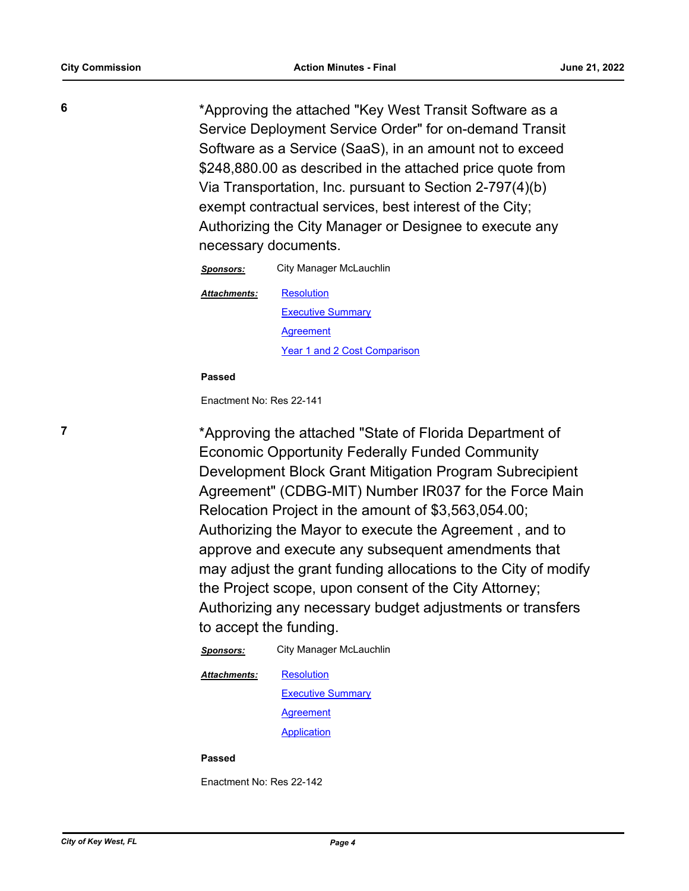**6** \*Approving the attached "Key West Transit Software as a Service Deployment Service Order" for on-demand Transit Software as a Service (SaaS), in an amount not to exceed \$248,880.00 as described in the attached price quote from Via Transportation, Inc. pursuant to Section 2-797(4)(b) exempt contractual services, best interest of the City; Authorizing the City Manager or Designee to execute any necessary documents.

> *Sponsors:* City Manager McLauchlin **[Resolution](http://KeyWest.legistar.com/gateway.aspx?M=F&ID=f748f647-4089-437d-b852-260c372baad2.pdf)** [Executive Summary](http://KeyWest.legistar.com/gateway.aspx?M=F&ID=df2e71aa-c7a8-41f3-a5b4-d51b503e78f5.pdf) [Agreement](http://KeyWest.legistar.com/gateway.aspx?M=F&ID=b855d53f-6249-4c45-ab08-b082763aef90.pdf) [Year 1 and 2 Cost Comparison](http://KeyWest.legistar.com/gateway.aspx?M=F&ID=8e27b39f-c3b6-48a6-af6f-2dce1d0fe9dc.pdf) *Attachments:*

#### **Passed**

Enactment No: Res 22-141

**7** \*Approving the attached "State of Florida Department of Economic Opportunity Federally Funded Community Development Block Grant Mitigation Program Subrecipient Agreement" (CDBG-MIT) Number IR037 for the Force Main Relocation Project in the amount of \$3,563,054.00; Authorizing the Mayor to execute the Agreement , and to approve and execute any subsequent amendments that may adjust the grant funding allocations to the City of modify the Project scope, upon consent of the City Attorney; Authorizing any necessary budget adjustments or transfers to accept the funding.

> *Sponsors:* City Manager McLauchlin **[Resolution](http://KeyWest.legistar.com/gateway.aspx?M=F&ID=66197c09-7258-4392-9d24-043b42cae33e.pdf) [Executive Summary](http://KeyWest.legistar.com/gateway.aspx?M=F&ID=820f0749-8ee9-41c4-8da9-d1e8084f50bb.pdf)** [Agreement](http://KeyWest.legistar.com/gateway.aspx?M=F&ID=3ce2a59c-1aeb-430d-a254-08d09861f52f.pdf) [Application](http://KeyWest.legistar.com/gateway.aspx?M=F&ID=ed11be82-80f0-4a63-9a4c-4a5c414b1294.pdf) *Attachments:*

#### **Passed**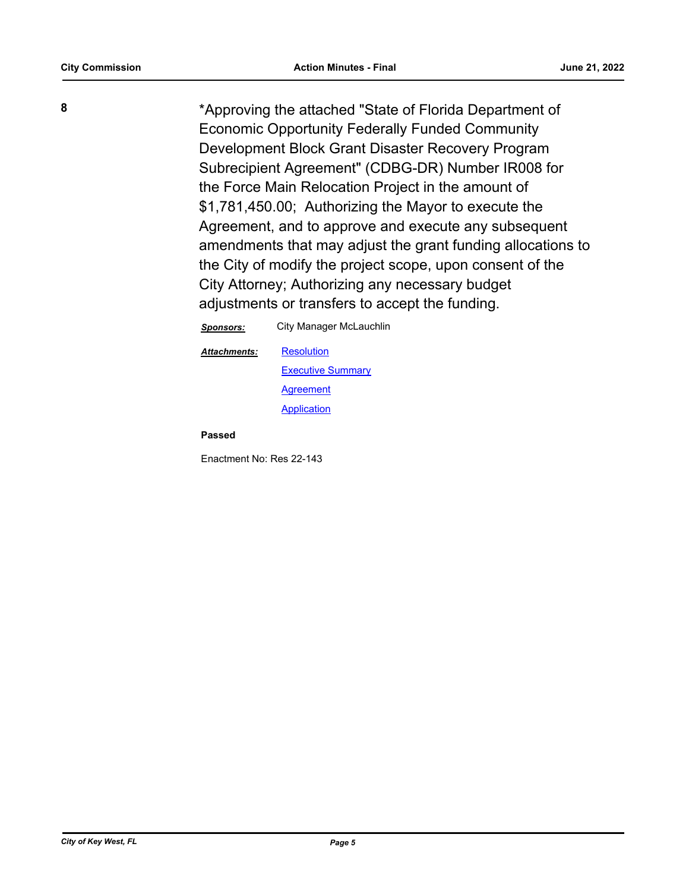**8** \*Approving the attached "State of Florida Department of Economic Opportunity Federally Funded Community Development Block Grant Disaster Recovery Program Subrecipient Agreement" (CDBG-DR) Number IR008 for the Force Main Relocation Project in the amount of \$1,781,450.00; Authorizing the Mayor to execute the Agreement, and to approve and execute any subsequent amendments that may adjust the grant funding allocations to the City of modify the project scope, upon consent of the City Attorney; Authorizing any necessary budget adjustments or transfers to accept the funding.

| Sponsors:    | City Manager McLauchlin  |
|--------------|--------------------------|
| Attachments: | <b>Resolution</b>        |
|              | <b>Executive Summary</b> |
|              | Agreement                |
|              | Application              |
|              |                          |

**Passed**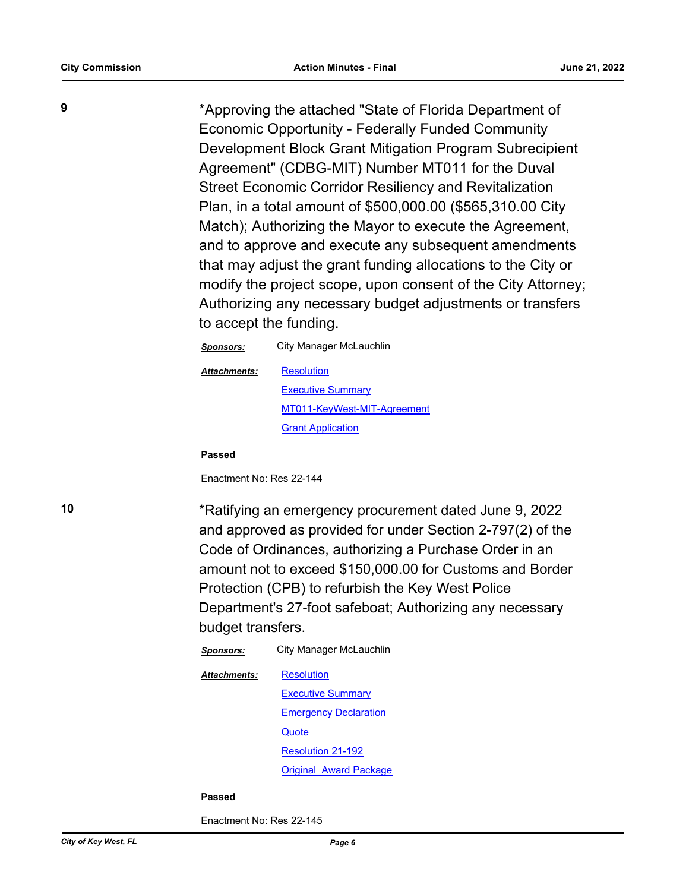**9** \*Approving the attached "State of Florida Department of Economic Opportunity - Federally Funded Community Development Block Grant Mitigation Program Subrecipient Agreement" (CDBG-MIT) Number MT011 for the Duval Street Economic Corridor Resiliency and Revitalization Plan, in a total amount of \$500,000.00 (\$565,310.00 City Match); Authorizing the Mayor to execute the Agreement, and to approve and execute any subsequent amendments that may adjust the grant funding allocations to the City or modify the project scope, upon consent of the City Attorney; Authorizing any necessary budget adjustments or transfers to accept the funding.

| <b>Sponsors:</b> | City Manager McLauchlin     |
|------------------|-----------------------------|
| Attachments:     | <b>Resolution</b>           |
|                  | <b>Executive Summary</b>    |
|                  | MT011-KeyWest-MIT-Agreement |
|                  | <b>Grant Application</b>    |

**Passed**

Enactment No: Res 22-144

**10** \*Ratifying an emergency procurement dated June 9, 2022 and approved as provided for under Section 2-797(2) of the Code of Ordinances, authorizing a Purchase Order in an amount not to exceed \$150,000.00 for Customs and Border Protection (CPB) to refurbish the Key West Police Department's 27-foot safeboat; Authorizing any necessary budget transfers.

> *Sponsors:* City Manager McLauchlin **[Resolution](http://KeyWest.legistar.com/gateway.aspx?M=F&ID=a86ba57a-5fec-4a99-a6b9-2097b243f01d.pdf) [Executive Summary](http://KeyWest.legistar.com/gateway.aspx?M=F&ID=3ebea6e5-d8e2-4ec0-8cea-802c920e8f07.pdf)** [Emergency Declaration](http://KeyWest.legistar.com/gateway.aspx?M=F&ID=b77e183e-f5f5-4f83-a2be-8cd309a37346.pdf) **[Quote](http://KeyWest.legistar.com/gateway.aspx?M=F&ID=3539220f-a4bd-4625-a37d-f31aae894af6.pdf)** [Resolution 21-192](http://KeyWest.legistar.com/gateway.aspx?M=F&ID=88eef41e-ec18-42c0-b38b-67b48c221042.pdf) [Original Award Package](http://KeyWest.legistar.com/gateway.aspx?M=F&ID=802d2fc6-cf62-480a-854c-934836c0e3c8.pdf) *Attachments:*

#### **Passed**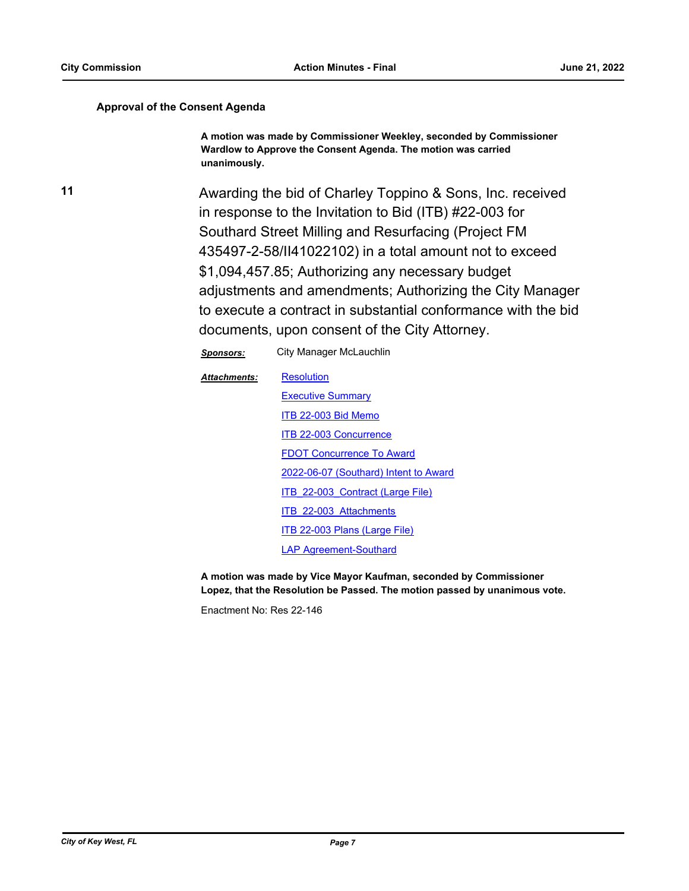#### **Approval of the Consent Agenda**

**A motion was made by Commissioner Weekley, seconded by Commissioner Wardlow to Approve the Consent Agenda. The motion was carried unanimously.**

**11** Awarding the bid of Charley Toppino & Sons, Inc. received in response to the Invitation to Bid (ITB) #22-003 for Southard Street Milling and Resurfacing (Project FM 435497-2-58/II41022102) in a total amount not to exceed \$1,094,457.85; Authorizing any necessary budget adjustments and amendments; Authorizing the City Manager to execute a contract in substantial conformance with the bid documents, upon consent of the City Attorney.

*Sponsors:* City Manager McLauchlin

**[Resolution](http://KeyWest.legistar.com/gateway.aspx?M=F&ID=eee0839e-c9b4-4bcc-bc67-1f30d1ecbb11.pdf) [Executive Summary](http://KeyWest.legistar.com/gateway.aspx?M=F&ID=9c30a6c5-7035-45b6-a3f0-216d23cc259f.pdf)** [ITB 22-003 Bid Memo](http://KeyWest.legistar.com/gateway.aspx?M=F&ID=9b176ddb-0b2c-4723-a476-766561f8dee0.pdf) [ITB 22-003 Concurrence](http://KeyWest.legistar.com/gateway.aspx?M=F&ID=8398b245-3e62-472b-afa8-7edb74a81d81.pdf) [FDOT Concurrence To Award](http://KeyWest.legistar.com/gateway.aspx?M=F&ID=27f2824c-430a-4afc-9b1b-e5236ecc036b.pdf) [2022-06-07 \(Southard\) Intent to Award](http://KeyWest.legistar.com/gateway.aspx?M=F&ID=f22bcc6d-cac0-49cd-9afb-b719b94779cf.pdf) [ITB\\_22-003\\_Contract \(Large File\)](http://KeyWest.legistar.com/gateway.aspx?M=F&ID=a31e3d1b-4af4-47ab-932c-756f2eb12e5c.pdf) [ITB\\_22-003\\_Attachments](http://KeyWest.legistar.com/gateway.aspx?M=F&ID=3d0c8d60-c847-4eec-98d0-f835dea3ae50.pdf) [ITB 22-003 Plans \(Large File\)](http://KeyWest.legistar.com/gateway.aspx?M=F&ID=e85c4816-87cd-457c-a1eb-52294abace9b.pdf) [LAP Agreement-Southard](http://KeyWest.legistar.com/gateway.aspx?M=F&ID=5a7c2690-29e7-4073-9bec-5e93eadd8a7d.pdf) *Attachments:*

**A motion was made by Vice Mayor Kaufman, seconded by Commissioner Lopez, that the Resolution be Passed. The motion passed by unanimous vote.**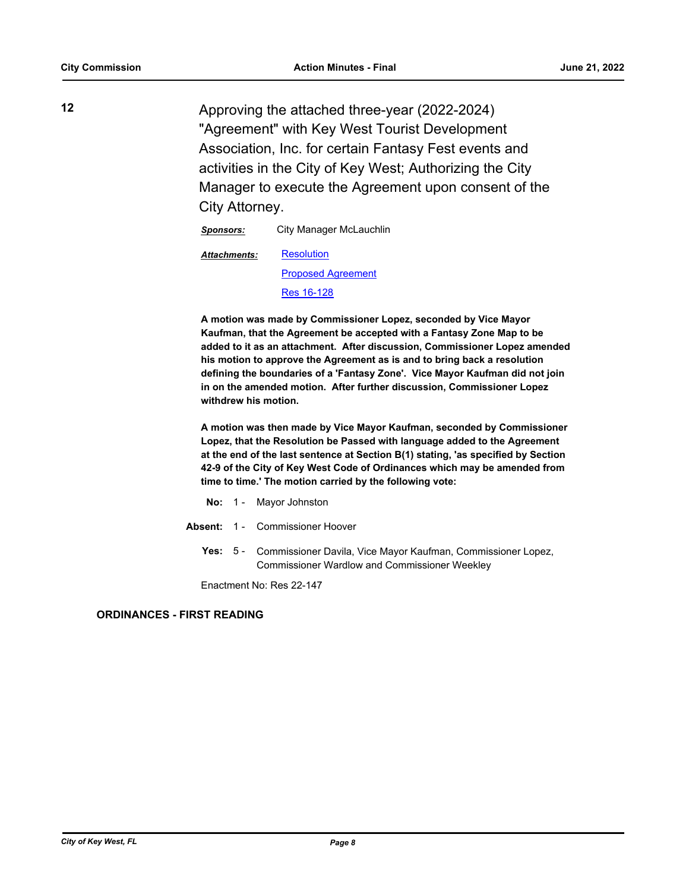**12** Approving the attached three-year (2022-2024) "Agreement" with Key West Tourist Development Association, Inc. for certain Fantasy Fest events and activities in the City of Key West; Authorizing the City Manager to execute the Agreement upon consent of the City Attorney.

*Sponsors:* City Manager McLauchlin

**[Resolution](http://KeyWest.legistar.com/gateway.aspx?M=F&ID=8744d75c-61ba-48ad-9989-b674d63206bb.docx)** [Proposed Agreement](http://KeyWest.legistar.com/gateway.aspx?M=F&ID=eebebdd2-2c91-4ce9-8d65-a09e280834f1.pdf) *Attachments:*

[Res 16-128](http://KeyWest.legistar.com/gateway.aspx?M=F&ID=596f5e58-ff17-4a77-a524-27c057c8b59d.pdf)

**A motion was made by Commissioner Lopez, seconded by Vice Mayor Kaufman, that the Agreement be accepted with a Fantasy Zone Map to be added to it as an attachment. After discussion, Commissioner Lopez amended his motion to approve the Agreement as is and to bring back a resolution defining the boundaries of a 'Fantasy Zone'. Vice Mayor Kaufman did not join in on the amended motion. After further discussion, Commissioner Lopez withdrew his motion.**

**A motion was then made by Vice Mayor Kaufman, seconded by Commissioner Lopez, that the Resolution be Passed with language added to the Agreement at the end of the last sentence at Section B(1) stating, 'as specified by Section 42-9 of the City of Key West Code of Ordinances which may be amended from time to time.' The motion carried by the following vote:**

- **No:** 1 Mayor Johnston
- **Absent:** 1 Commissioner Hoover
	- Yes: 5 Commissioner Davila, Vice Mayor Kaufman, Commissioner Lopez, Commissioner Wardlow and Commissioner Weekley

Enactment No: Res 22-147

#### **ORDINANCES - FIRST READING**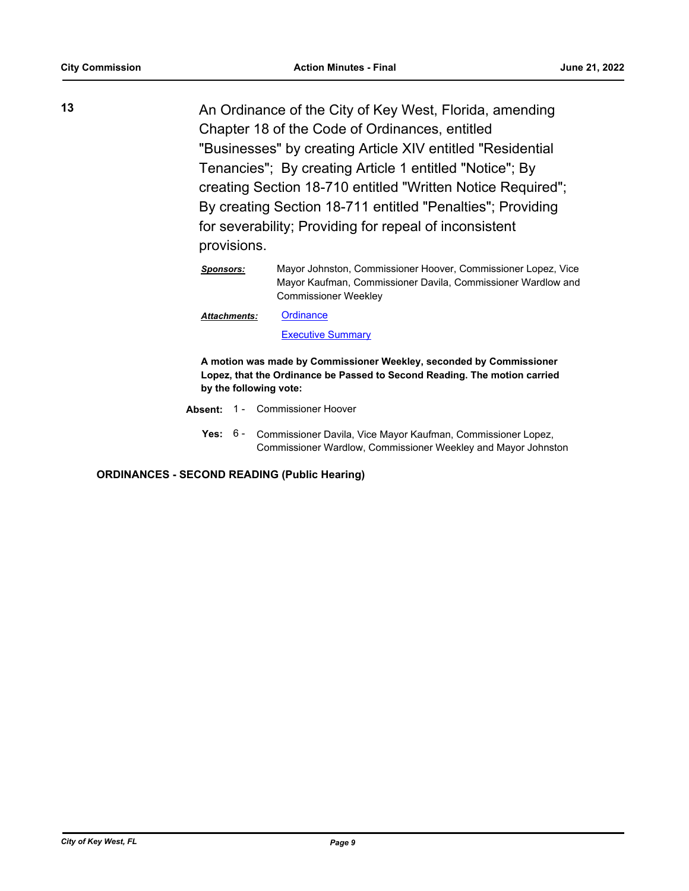**13** An Ordinance of the City of Key West, Florida, amending Chapter 18 of the Code of Ordinances, entitled "Businesses" by creating Article XIV entitled "Residential Tenancies"; By creating Article 1 entitled "Notice"; By creating Section 18-710 entitled "Written Notice Required"; By creating Section 18-711 entitled "Penalties"; Providing for severability; Providing for repeal of inconsistent provisions.

**[Ordinance](http://KeyWest.legistar.com/gateway.aspx?M=F&ID=031828b8-f6ba-414b-abd8-f6ac89917324.pdf) [Executive Summary](http://KeyWest.legistar.com/gateway.aspx?M=F&ID=73574af9-d07d-4949-9e7a-b58ddb5a6388.pdf)** *Attachments:*

**A motion was made by Commissioner Weekley, seconded by Commissioner Lopez, that the Ordinance be Passed to Second Reading. The motion carried by the following vote:**

- **Absent:** 1 Commissioner Hoover
	- Yes: 6 Commissioner Davila, Vice Mayor Kaufman, Commissioner Lopez, Commissioner Wardlow, Commissioner Weekley and Mayor Johnston

**ORDINANCES - SECOND READING (Public Hearing)**

*Sponsors:* Mayor Johnston, Commissioner Hoover, Commissioner Lopez, Vice Mayor Kaufman, Commissioner Davila, Commissioner Wardlow and Commissioner Weekley